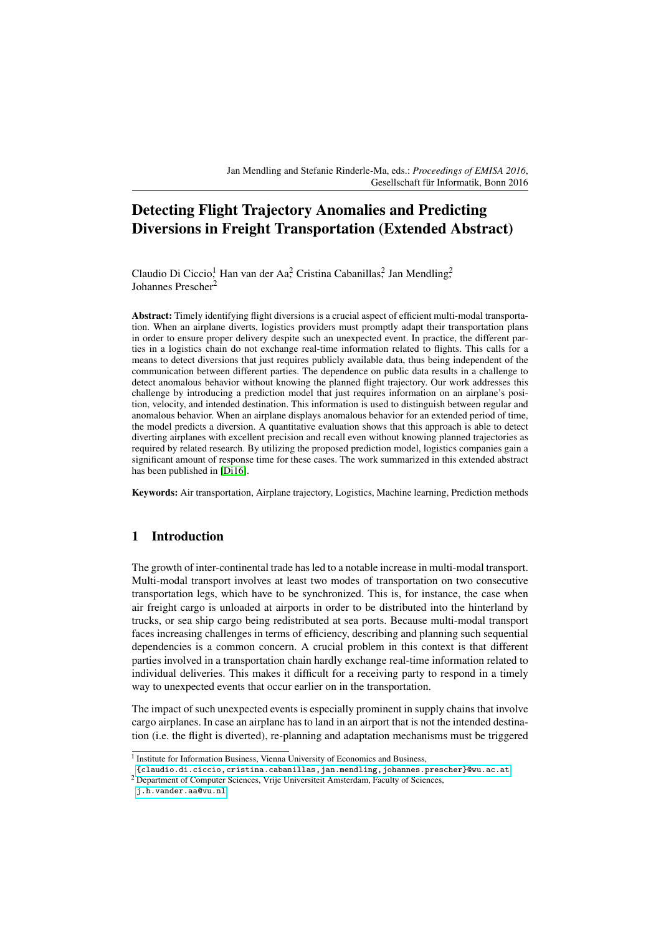Jan Mendling and Stefanie Rinderle-Ma, eds.: *Proceedings of EMISA 2016*, Gesellschaft für Informatik, Bonn 2016

# Detecting Flight Trajectory Anomalies and Predicting Diversions in Freight Transportation (Extended Abstract)

Claudio Di Ciccio<sup>1</sup>, Han van der Aa<sup>2</sup>, Cristina Cabanillas<sup>2</sup>, Jan Mendling<sup>2</sup>, Johannes Prescher<sup>2</sup>

Abstract: Timely identifying flight diversions is a crucial aspect of efficient multi-modal transportation. When an airplane diverts, logistics providers must promptly adapt their transportation plans in order to ensure proper delivery despite such an unexpected event. In practice, the different parties in a logistics chain do not exchange real-time information related to flights. This calls for a means to detect diversions that just requires publicly available data, thus being independent of the communication between different parties. The dependence on public data results in a challenge to detect anomalous behavior without knowing the planned flight trajectory. Our work addresses this challenge by introducing a prediction model that just requires information on an airplane's position, velocity, and intended destination. This information is used to distinguish between regular and anomalous behavior. When an airplane displays anomalous behavior for an extended period of time, the model predicts a diversion. A quantitative evaluation shows that this approach is able to detect diverting airplanes with excellent precision and recall even without knowing planned trajectories as required by related research. By utilizing the proposed prediction model, logistics companies gain a significant amount of response time for these cases. The work summarized in this extended abstract has been published in [\[Di16\]](#page-3-0).

Keywords: Air transportation, Airplane trajectory, Logistics, Machine learning, Prediction methods

### 1 Introduction

The growth of inter-continental trade has led to a notable increase in multi-modal transport. Multi-modal transport involves at least two modes of transportation on two consecutive transportation legs, which have to be synchronized. This is, for instance, the case when air freight cargo is unloaded at airports in order to be distributed into the hinterland by trucks, or sea ship cargo being redistributed at sea ports. Because multi-modal transport faces increasing challenges in terms of efficiency, describing and planning such sequential dependencies is a common concern. A crucial problem in this context is that different parties involved in a transportation chain hardly exchange real-time information related to individual deliveries. This makes it difficult for a receiving party to respond in a timely way to unexpected events that occur earlier on in the transportation.

The impact of such unexpected events is especially prominent in supply chains that involve cargo airplanes. In case an airplane has to land in an airport that is not the intended destination (i.e. the flight is diverted), re-planning and adaptation mechanisms must be triggered

<sup>&</sup>lt;sup>1</sup> Institute for Information Business, Vienna University of Economics and Business,

[<sup>{</sup>claudio.di.ciccio,cristina.cabanillas,jan.mendling,johannes.prescher}@wu.ac.at](mailto:claudio.di.ciccio@wu.ac.at)

<sup>2</sup> Department of Computer Sciences, Vrije Universiteit Amsterdam, Faculty of Sciences,

[j.h.vander.aa@vu.nl](mailto:j.h.vander.aa@vu.nl)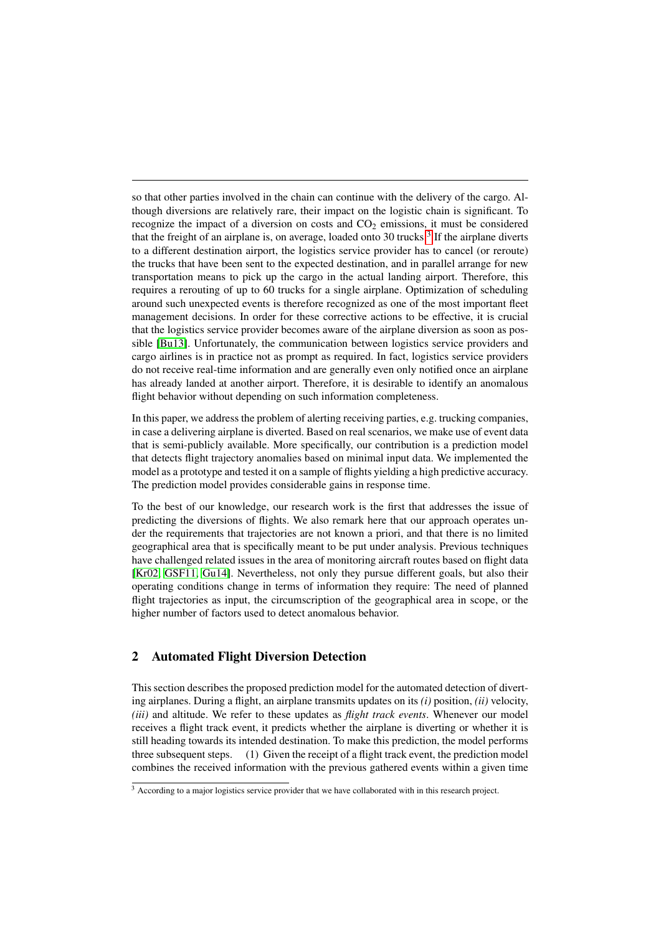so that other parties involved in the chain can continue with the delivery of the cargo. Although diversions are relatively rare, their impact on the logistic chain is significant. To recognize the impact of a diversion on costs and  $CO<sub>2</sub>$  emissions, it must be considered that the freight of an airplane is, on average, loaded onto [3](#page-1-0)0 trucks.<sup>3</sup> If the airplane diverts to a different destination airport, the logistics service provider has to cancel (or reroute) the trucks that have been sent to the expected destination, and in parallel arrange for new transportation means to pick up the cargo in the actual landing airport. Therefore, this requires a rerouting of up to 60 trucks for a single airplane. Optimization of scheduling around such unexpected events is therefore recognized as one of the most important fleet management decisions. In order for these corrective actions to be effective, it is crucial that the logistics service provider becomes aware of the airplane diversion as soon as possible [\[Bu13\]](#page-3-1). Unfortunately, the communication between logistics service providers and cargo airlines is in practice not as prompt as required. In fact, logistics service providers do not receive real-time information and are generally even only notified once an airplane has already landed at another airport. Therefore, it is desirable to identify an anomalous flight behavior without depending on such information completeness.

In this paper, we address the problem of alerting receiving parties, e.g. trucking companies, in case a delivering airplane is diverted. Based on real scenarios, we make use of event data that is semi-publicly available. More specifically, our contribution is a prediction model that detects flight trajectory anomalies based on minimal input data. We implemented the model as a prototype and tested it on a sample of flights yielding a high predictive accuracy. The prediction model provides considerable gains in response time.

To the best of our knowledge, our research work is the first that addresses the issue of predicting the diversions of flights. We also remark here that our approach operates under the requirements that trajectories are not known a priori, and that there is no limited geographical area that is specifically meant to be put under analysis. Previous techniques have challenged related issues in the area of monitoring aircraft routes based on flight data [\[Kr02,](#page-3-2) [GSF11,](#page-3-3) [Gu14\]](#page-3-4). Nevertheless, not only they pursue different goals, but also their operating conditions change in terms of information they require: The need of planned flight trajectories as input, the circumscription of the geographical area in scope, or the higher number of factors used to detect anomalous behavior.

# 2 Automated Flight Diversion Detection

This section describes the proposed prediction model for the automated detection of diverting airplanes. During a flight, an airplane transmits updates on its *(i)* position, *(ii)* velocity, *(iii)* and altitude. We refer to these updates as *flight track events*. Whenever our model receives a flight track event, it predicts whether the airplane is diverting or whether it is still heading towards its intended destination. To make this prediction, the model performs three subsequent steps. (1) Given the receipt of a flight track event, the prediction model combines the received information with the previous gathered events within a given time

<span id="page-1-0"></span><sup>&</sup>lt;sup>3</sup> According to a major logistics service provider that we have collaborated with in this research project.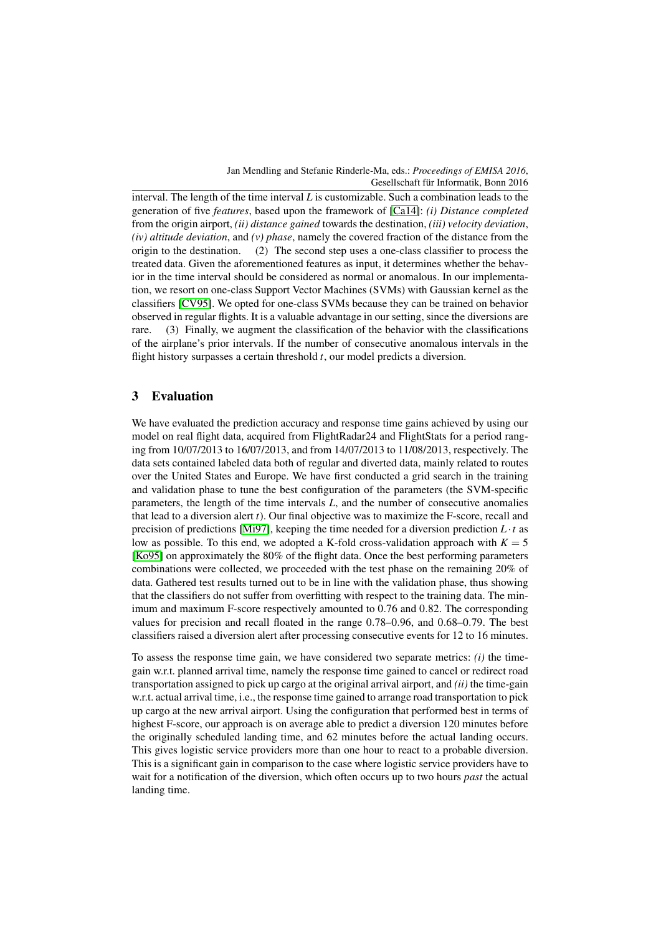#### Jan Mendling and Stefanie Rinderle-Ma, eds.: *Proceedings of EMISA 2016*, Gesellschaft für Informatik, Bonn 2016

interval. The length of the time interval *L* is customizable. Such a combination leads to the generation of five *features*, based upon the framework of [\[Ca14\]](#page-3-5): *(i) Distance completed* from the origin airport, *(ii) distance gained* towards the destination, *(iii) velocity deviation*, *(iv) altitude deviation*, and *(v) phase*, namely the covered fraction of the distance from the origin to the destination. (2) The second step uses a one-class classifier to process the treated data. Given the aforementioned features as input, it determines whether the behavior in the time interval should be considered as normal or anomalous. In our implementation, we resort on one-class Support Vector Machines (SVMs) with Gaussian kernel as the classifiers [\[CV95\]](#page-3-6). We opted for one-class SVMs because they can be trained on behavior observed in regular flights. It is a valuable advantage in our setting, since the diversions are rare. (3) Finally, we augment the classification of the behavior with the classifications of the airplane's prior intervals. If the number of consecutive anomalous intervals in the flight history surpasses a certain threshold *t*, our model predicts a diversion.

# 3 Evaluation

We have evaluated the prediction accuracy and response time gains achieved by using our model on real flight data, acquired from FlightRadar24 and FlightStats for a period ranging from 10/07/2013 to 16/07/2013, and from 14/07/2013 to 11/08/2013, respectively. The data sets contained labeled data both of regular and diverted data, mainly related to routes over the United States and Europe. We have first conducted a grid search in the training and validation phase to tune the best configuration of the parameters (the SVM-specific parameters, the length of the time intervals *L*, and the number of consecutive anomalies that lead to a diversion alert *t*). Our final objective was to maximize the F-score, recall and precision of predictions [\[Mi97\]](#page-3-7), keeping the time needed for a diversion prediction  $L \cdot t$  as low as possible. To this end, we adopted a K-fold cross-validation approach with  $K = 5$ [\[Ko95\]](#page-3-8) on approximately the 80% of the flight data. Once the best performing parameters combinations were collected, we proceeded with the test phase on the remaining 20% of data. Gathered test results turned out to be in line with the validation phase, thus showing that the classifiers do not suffer from overfitting with respect to the training data. The minimum and maximum F-score respectively amounted to 0.76 and 0.82. The corresponding values for precision and recall floated in the range 0.78–0.96, and 0.68–0.79. The best classifiers raised a diversion alert after processing consecutive events for 12 to 16 minutes.

To assess the response time gain, we have considered two separate metrics: *(i)* the timegain w.r.t. planned arrival time, namely the response time gained to cancel or redirect road transportation assigned to pick up cargo at the original arrival airport, and *(ii)* the time-gain w.r.t. actual arrival time, i.e., the response time gained to arrange road transportation to pick up cargo at the new arrival airport. Using the configuration that performed best in terms of highest F-score, our approach is on average able to predict a diversion 120 minutes before the originally scheduled landing time, and 62 minutes before the actual landing occurs. This gives logistic service providers more than one hour to react to a probable diversion. This is a significant gain in comparison to the case where logistic service providers have to wait for a notification of the diversion, which often occurs up to two hours *past* the actual landing time.